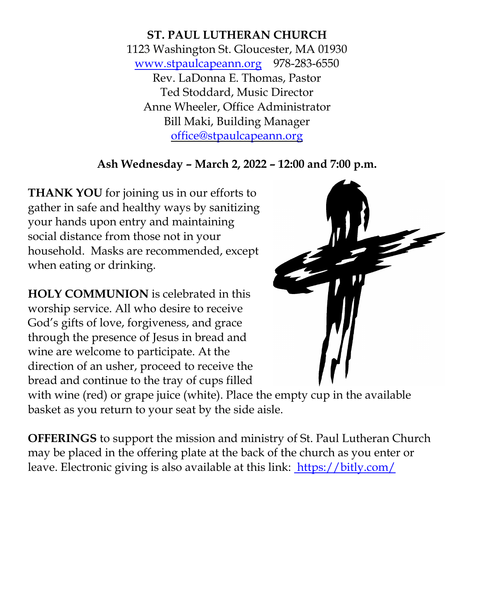**ST. PAUL LUTHERAN CHURCH** 1123 Washington St. Gloucester, MA 01930 [www.stpaulcapeann.org](http://www.stpaulcapeann.org/) 978-283-6550 Rev. LaDonna E. Thomas, Pastor Ted Stoddard, Music Director Anne Wheeler, Office Administrator Bill Maki, Building Manager [office@stpaulcapeann.org](mailto:office@stpaulcapeann.org)

# **Ash Wednesday – March 2, 2022 – 12:00 and 7:00 p.m.**

**THANK YOU** for joining us in our efforts to gather in safe and healthy ways by sanitizing your hands upon entry and maintaining social distance from those not in your household. Masks are recommended, except when eating or drinking.

**HOLY COMMUNION** is celebrated in this worship service. All who desire to receive God's gifts of love, forgiveness, and grace through the presence of Jesus in bread and wine are welcome to participate. At the direction of an usher, proceed to receive the bread and continue to the tray of cups filled



with wine (red) or grape juice (white). Place the empty cup in the available basket as you return to your seat by the side aisle.

**OFFERINGS** to support the mission and ministry of St. Paul Lutheran Church may be placed in the offering plate at the back of the church as you enter or leave. Electronic giving is also available at this link: <https://bitly.com/>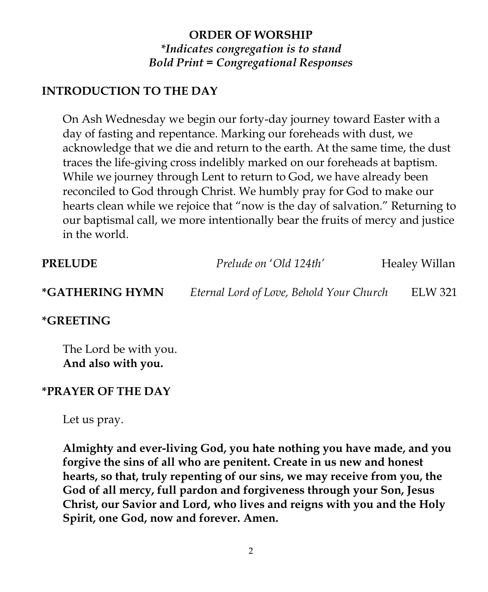# **ORDER OF WORSHIP** *\*Indicates congregation is to stand Bold Print = Congregational Responses*

## **INTRODUCTION TO THE DAY**

On Ash Wednesday we begin our forty-day journey toward Easter with a day of fasting and repentance. Marking our foreheads with dust, we acknowledge that we die and return to the earth. At the same time, the dust traces the life-giving cross indelibly marked on our foreheads at baptism. While we journey through Lent to return to God, we have already been reconciled to God through Christ. We humbly pray for God to make our hearts clean while we rejoice that "now is the day of salvation." Returning to our baptismal call, we more intentionally bear the fruits of mercy and justice in the world.

| <b>PRELUDE</b>            | Prelude on 'Old 124th'                   | Healey Willan |
|---------------------------|------------------------------------------|---------------|
| *GATHERING HYMN           | Eternal Lord of Love, Behold Your Church | ELW 321       |
| $*$ $\cap$ dettini $\cap$ |                                          |               |

**\*GREETING**

The Lord be with you. **And also with you.**

## **\*PRAYER OF THE DAY**

Let us pray.

**Almighty and ever-living God, you hate nothing you have made, and you forgive the sins of all who are penitent. Create in us new and honest hearts, so that, truly repenting of our sins, we may receive from you, the God of all mercy, full pardon and forgiveness through your Son, Jesus Christ, our Savior and Lord, who lives and reigns with you and the Holy Spirit, one God, now and forever. Amen.**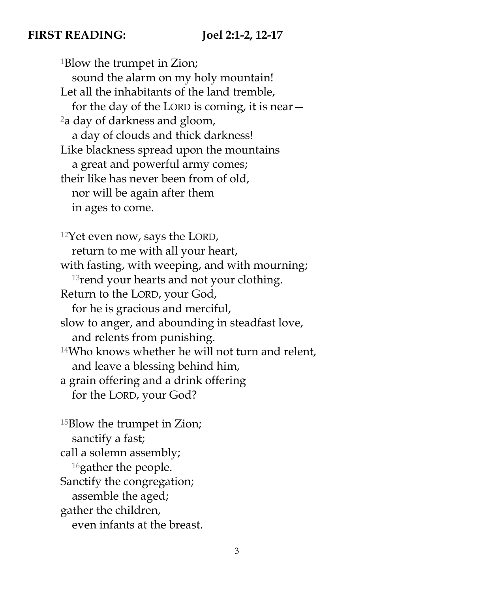### **FIRST READING: Joel 2:1-2, 12-17**

<sup>1</sup>Blow the trumpet in Zion; sound the alarm on my holy mountain! Let all the inhabitants of the land tremble, for the day of the LORD is coming, it is near— <sup>2</sup>a day of darkness and gloom, a day of clouds and thick darkness! Like blackness spread upon the mountains a great and powerful army comes; their like has never been from of old, nor will be again after them in ages to come.

<sup>12</sup>Yet even now, says the LORD, return to me with all your heart, with fasting, with weeping, and with mourning; <sup>13</sup>rend your hearts and not your clothing. Return to the LORD, your God, for he is gracious and merciful, slow to anger, and abounding in steadfast love, and relents from punishing. <sup>14</sup>Who knows whether he will not turn and relent, and leave a blessing behind him, a grain offering and a drink offering for the LORD, your God?

<sup>15</sup>Blow the trumpet in Zion; sanctify a fast; call a solemn assembly; <sup>16</sup>gather the people. Sanctify the congregation; assemble the aged; gather the children, even infants at the breast.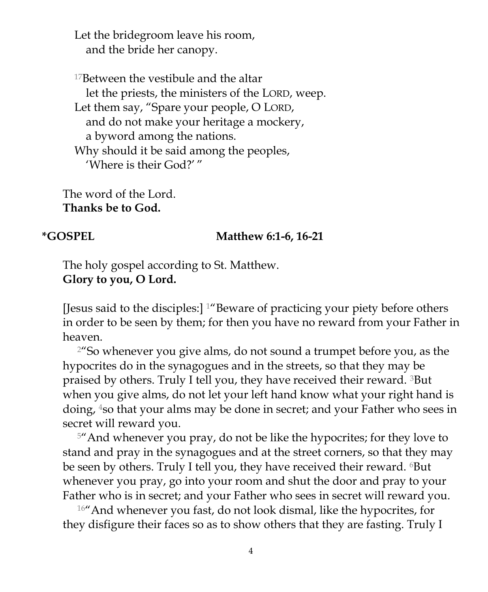Let the bridegroom leave his room, and the bride her canopy.

<sup>17</sup>Between the vestibule and the altar let the priests, the ministers of the LORD, weep. Let them say, "Spare your people, O LORD, and do not make your heritage a mockery, a byword among the nations. Why should it be said among the peoples, 'Where is their God?' "

The word of the Lord. **Thanks be to God.**

#### **\*GOSPEL Matthew 6:1-6, 16-21**

The holy gospel according to St. Matthew. **Glory to you, O Lord.**

[Jesus said to the disciples:] 1"Beware of practicing your piety before others in order to be seen by them; for then you have no reward from your Father in heaven.

 $2^{\prime\prime}$ So whenever you give alms, do not sound a trumpet before you, as the hypocrites do in the synagogues and in the streets, so that they may be praised by others. Truly I tell you, they have received their reward. 3But when you give alms, do not let your left hand know what your right hand is doing, 4so that your alms may be done in secret; and your Father who sees in secret will reward you.

<sup>5</sup>" And whenever you pray, do not be like the hypocrites; for they love to stand and pray in the synagogues and at the street corners, so that they may be seen by others. Truly I tell you, they have received their reward. <sup>6</sup>But whenever you pray, go into your room and shut the door and pray to your Father who is in secret; and your Father who sees in secret will reward you.

<sup>16"</sup> And whenever you fast, do not look dismal, like the hypocrites, for they disfigure their faces so as to show others that they are fasting. Truly I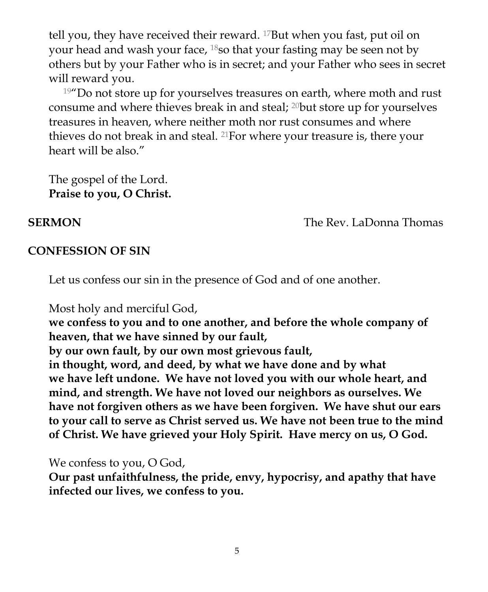tell you, they have received their reward. 17But when you fast, put oil on your head and wash your face, <sup>18</sup>so that your fasting may be seen not by others but by your Father who is in secret; and your Father who sees in secret will reward you.

 $19''$ Do not store up for yourselves treasures on earth, where moth and rust consume and where thieves break in and steal; 20but store up for yourselves treasures in heaven, where neither moth nor rust consumes and where thieves do not break in and steal. 21For where your treasure is, there your heart will be also."

The gospel of the Lord. **Praise to you, O Christ.**

**SERMON The Rev. LaDonna Thomas** 

## **CONFESSION OF SIN**

Let us confess our sin in the presence of God and of one another.

Most holy and merciful God,

**we confess to you and to one another, and before the whole company of heaven, that we have sinned by our fault,**

**by our own fault, by our own most grievous fault,**

**in thought, word, and deed, by what we have done and by what we have left undone. We have not loved you with our whole heart, and mind, and strength. We have not loved our neighbors as ourselves. We have not forgiven others as we have been forgiven. We have shut our ears to your call to serve as Christ served us. We have not been true to the mind of Christ. We have grieved your Holy Spirit. Have mercy on us, O God.**

We confess to you, O God,

**Our past unfaithfulness, the pride, envy, hypocrisy, and apathy that have infected our lives, we confess to you.**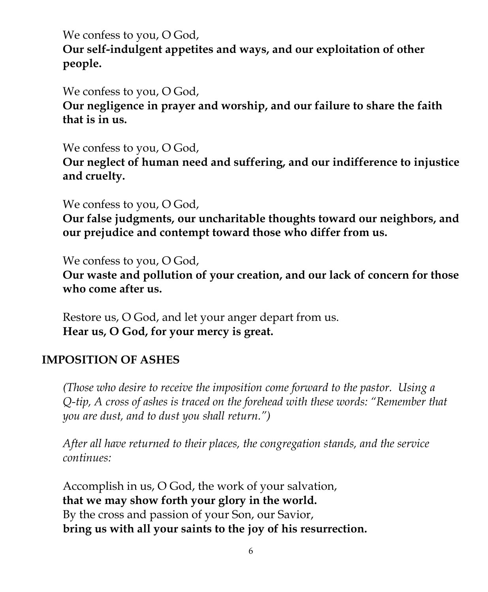We confess to you, O God, **Our self-indulgent appetites and ways, and our exploitation of other people.**

We confess to you, O God,

**Our negligence in prayer and worship, and our failure to share the faith that is in us.**

We confess to you, O God,

**Our neglect of human need and suffering, and our indifference to injustice and cruelty.** 

We confess to you, O God,

**Our false judgments, our uncharitable thoughts toward our neighbors, and our prejudice and contempt toward those who differ from us.**

We confess to you, O God,

**Our waste and pollution of your creation, and our lack of concern for those who come after us.**

Restore us, O God, and let your anger depart from us. **Hear us, O God, for your mercy is great.**

## **IMPOSITION OF ASHES**

*(Those who desire to receive the imposition come forward to the pastor. Using a Q-tip, A cross of ashes is traced on the forehead with these words: "Remember that you are dust, and to dust you shall return.")*

*After all have returned to their places, the congregation stands, and the service continues:*

Accomplish in us, O God, the work of your salvation, **that we may show forth your glory in the world.** By the cross and passion of your Son, our Savior, **bring us with all your saints to the joy of his resurrection.**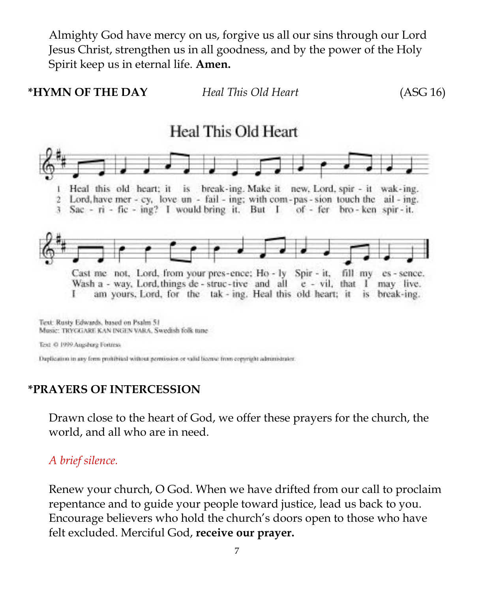Almighty God have mercy on us, forgive us all our sins through our Lord Jesus Christ, strengthen us in all goodness, and by the power of the Holy Spirit keep us in eternal life. **Amen.**





Daplication in any form prohibited without permission or valid license from copyright administrator.

## **\*PRAYERS OF INTERCESSION**

Drawn close to the heart of God, we offer these prayers for the church, the world, and all who are in need.

### *A brief silence.*

Renew your church, O God. When we have drifted from our call to proclaim repentance and to guide your people toward justice, lead us back to you. Encourage believers who hold the church's doors open to those who have felt excluded. Merciful God, **receive our prayer.**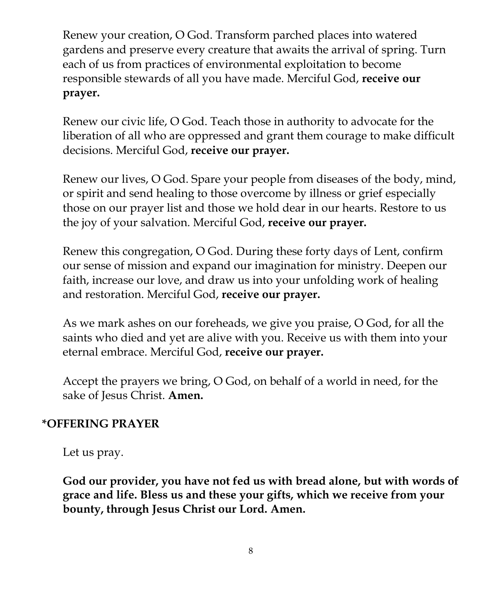Renew your creation, O God. Transform parched places into watered gardens and preserve every creature that awaits the arrival of spring. Turn each of us from practices of environmental exploitation to become responsible stewards of all you have made. Merciful God, **receive our prayer.**

Renew our civic life, O God. Teach those in authority to advocate for the liberation of all who are oppressed and grant them courage to make difficult decisions. Merciful God, **receive our prayer.**

Renew our lives, O God. Spare your people from diseases of the body, mind, or spirit and send healing to those overcome by illness or grief especially those on our prayer list and those we hold dear in our hearts. Restore to us the joy of your salvation. Merciful God, **receive our prayer.**

Renew this congregation, O God. During these forty days of Lent, confirm our sense of mission and expand our imagination for ministry. Deepen our faith, increase our love, and draw us into your unfolding work of healing and restoration. Merciful God, **receive our prayer.**

As we mark ashes on our foreheads, we give you praise, O God, for all the saints who died and yet are alive with you. Receive us with them into your eternal embrace. Merciful God, **receive our prayer.**

Accept the prayers we bring, O God, on behalf of a world in need, for the sake of Jesus Christ. **Amen.**

## **\*OFFERING PRAYER**

Let us pray.

**God our provider, you have not fed us with bread alone, but with words of grace and life. Bless us and these your gifts, which we receive from your bounty, through Jesus Christ our Lord. Amen.**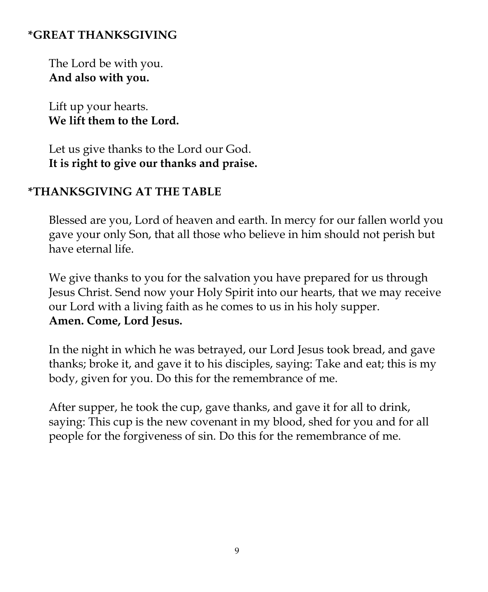# **\*GREAT THANKSGIVING**

The Lord be with you. **And also with you.**

Lift up your hearts. **We lift them to the Lord.**

Let us give thanks to the Lord our God. **It is right to give our thanks and praise.**

## **\*THANKSGIVING AT THE TABLE**

Blessed are you, Lord of heaven and earth. In mercy for our fallen world you gave your only Son, that all those who believe in him should not perish but have eternal life.

We give thanks to you for the salvation you have prepared for us through Jesus Christ. Send now your Holy Spirit into our hearts, that we may receive our Lord with a living faith as he comes to us in his holy supper. **Amen. Come, Lord Jesus.**

In the night in which he was betrayed, our Lord Jesus took bread, and gave thanks; broke it, and gave it to his disciples, saying: Take and eat; this is my body, given for you. Do this for the remembrance of me.

After supper, he took the cup, gave thanks, and gave it for all to drink, saying: This cup is the new covenant in my blood, shed for you and for all people for the forgiveness of sin. Do this for the remembrance of me.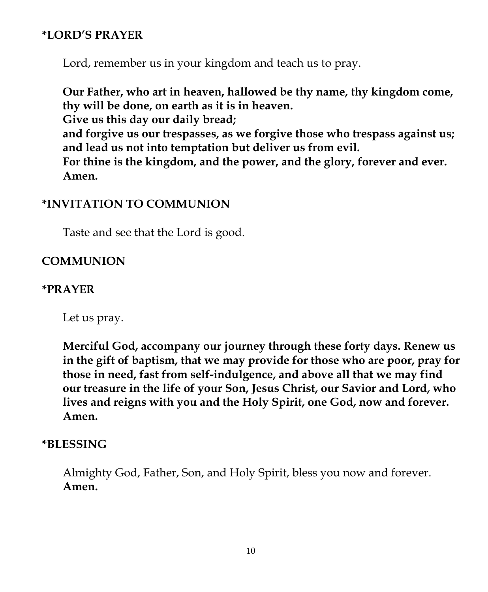## **\*LORD'S PRAYER**

Lord, remember us in your kingdom and teach us to pray.

**Our Father, who art in heaven, hallowed be thy name, thy kingdom come, thy will be done, on earth as it is in heaven. Give us this day our daily bread; and forgive us our trespasses, as we forgive those who trespass against us; and lead us not into temptation but deliver us from evil. For thine is the kingdom, and the power, and the glory, forever and ever. Amen.**

## **\*INVITATION TO COMMUNION**

Taste and see that the Lord is good.

## **COMMUNION**

## **\*PRAYER**

Let us pray.

**Merciful God, accompany our journey through these forty days. Renew us in the gift of baptism, that we may provide for those who are poor, pray for those in need, fast from self-indulgence, and above all that we may find our treasure in the life of your Son, Jesus Christ, our Savior and Lord, who lives and reigns with you and the Holy Spirit, one God, now and forever. Amen.**

## **\*BLESSING**

Almighty God, Father, Son, and Holy Spirit, bless you now and forever. **Amen.**